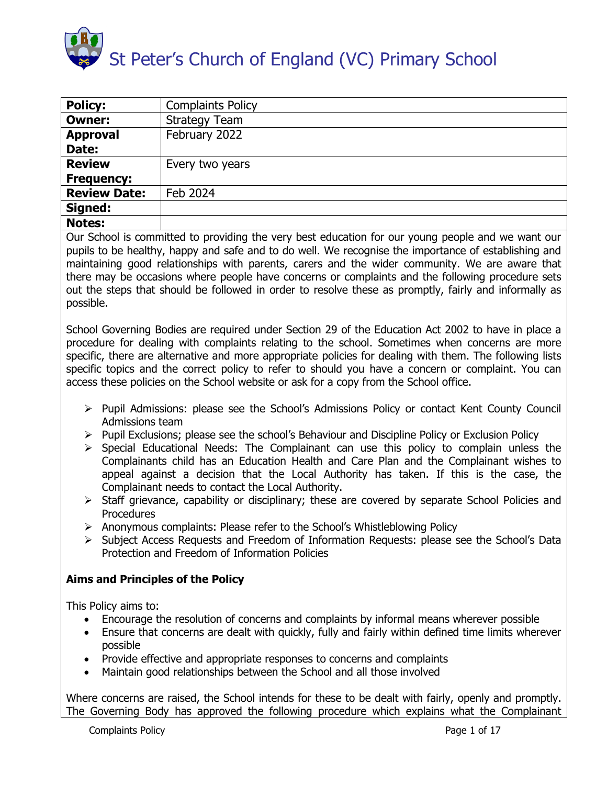

| <b>Policy:</b>      | <b>Complaints Policy</b> |
|---------------------|--------------------------|
| <b>Owner:</b>       | <b>Strategy Team</b>     |
| <b>Approval</b>     | February 2022            |
| Date:               |                          |
| <b>Review</b>       | Every two years          |
| <b>Frequency:</b>   |                          |
| <b>Review Date:</b> | Feb 2024                 |
| Signed:             |                          |
| <b>Notes:</b>       |                          |

Our School is committed to providing the very best education for our young people and we want our pupils to be healthy, happy and safe and to do well. We recognise the importance of establishing and maintaining good relationships with parents, carers and the wider community. We are aware that there may be occasions where people have concerns or complaints and the following procedure sets out the steps that should be followed in order to resolve these as promptly, fairly and informally as possible.

School Governing Bodies are required under Section 29 of the Education Act 2002 to have in place a procedure for dealing with complaints relating to the school. Sometimes when concerns are more specific, there are alternative and more appropriate policies for dealing with them. The following lists specific topics and the correct policy to refer to should you have a concern or complaint. You can access these policies on the School website or ask for a copy from the School office.

- Pupil Admissions: please see the School's Admissions Policy or contact Kent County Council Admissions team
- > Pupil Exclusions; please see the school's Behaviour and Discipline Policy or Exclusion Policy
- $\triangleright$  Special Educational Needs: The Complainant can use this policy to complain unless the Complainants child has an Education Health and Care Plan and the Complainant wishes to appeal against a decision that the Local Authority has taken. If this is the case, the Complainant needs to contact the Local Authority.
- $\triangleright$  Staff grievance, capability or disciplinary; these are covered by separate School Policies and Procedures
- $\triangleright$  Anonymous complaints: Please refer to the School's Whistleblowing Policy
- Subject Access Requests and Freedom of Information Requests: please see the School's Data Protection and Freedom of Information Policies

# **Aims and Principles of the Policy**

This Policy aims to:

- Encourage the resolution of concerns and complaints by informal means wherever possible
- Ensure that concerns are dealt with quickly, fully and fairly within defined time limits wherever possible
- Provide effective and appropriate responses to concerns and complaints
- Maintain good relationships between the School and all those involved

Where concerns are raised, the School intends for these to be dealt with fairly, openly and promptly. The Governing Body has approved the following procedure which explains what the Complainant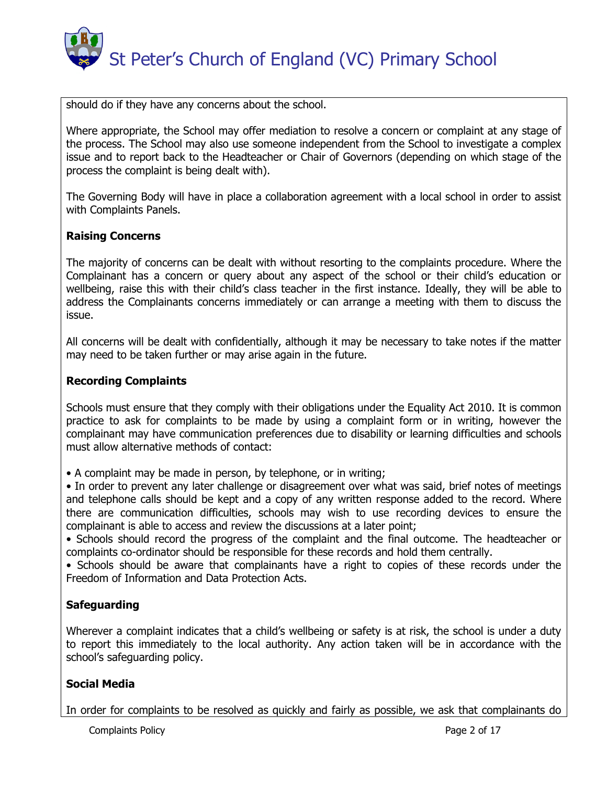

should do if they have any concerns about the school.

Where appropriate, the School may offer mediation to resolve a concern or complaint at any stage of the process. The School may also use someone independent from the School to investigate a complex issue and to report back to the Headteacher or Chair of Governors (depending on which stage of the process the complaint is being dealt with).

The Governing Body will have in place a collaboration agreement with a local school in order to assist with Complaints Panels.

# **Raising Concerns**

The majority of concerns can be dealt with without resorting to the complaints procedure. Where the Complainant has a concern or query about any aspect of the school or their child's education or wellbeing, raise this with their child's class teacher in the first instance. Ideally, they will be able to address the Complainants concerns immediately or can arrange a meeting with them to discuss the issue.

All concerns will be dealt with confidentially, although it may be necessary to take notes if the matter may need to be taken further or may arise again in the future.

#### **Recording Complaints**

Schools must ensure that they comply with their obligations under the Equality Act 2010. It is common practice to ask for complaints to be made by using a complaint form or in writing, however the complainant may have communication preferences due to disability or learning difficulties and schools must allow alternative methods of contact:

• A complaint may be made in person, by telephone, or in writing;

• In order to prevent any later challenge or disagreement over what was said, brief notes of meetings and telephone calls should be kept and a copy of any written response added to the record. Where there are communication difficulties, schools may wish to use recording devices to ensure the complainant is able to access and review the discussions at a later point;

• Schools should record the progress of the complaint and the final outcome. The headteacher or complaints co-ordinator should be responsible for these records and hold them centrally.

• Schools should be aware that complainants have a right to copies of these records under the Freedom of Information and Data Protection Acts.

# **Safeguarding**

Wherever a complaint indicates that a child's wellbeing or safety is at risk, the school is under a duty to report this immediately to the local authority. Any action taken will be in accordance with the school's safeguarding policy.

# **Social Media**

In order for complaints to be resolved as quickly and fairly as possible, we ask that complainants do

Complaints Policy **Page 2 of 17**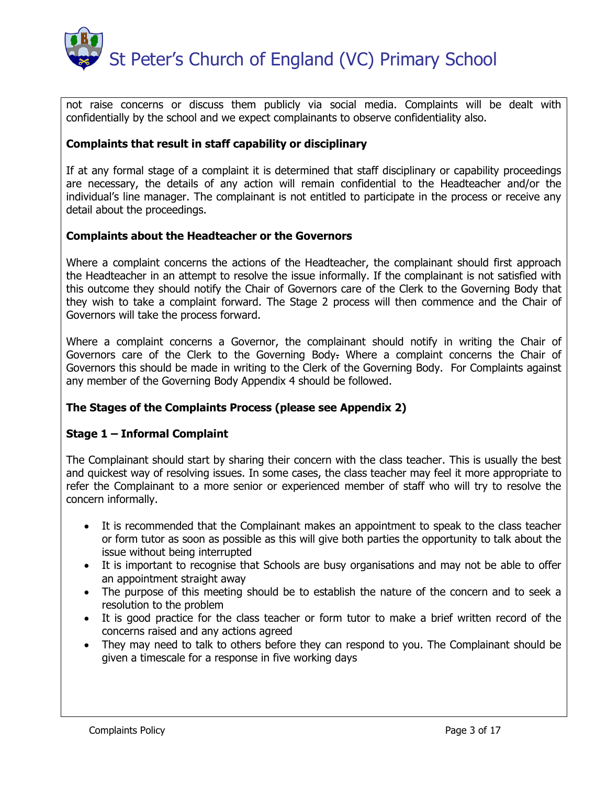

not raise concerns or discuss them publicly via social media. Complaints will be dealt with confidentially by the school and we expect complainants to observe confidentiality also.

# **Complaints that result in staff capability or disciplinary**

If at any formal stage of a complaint it is determined that staff disciplinary or capability proceedings are necessary, the details of any action will remain confidential to the Headteacher and/or the individual's line manager. The complainant is not entitled to participate in the process or receive any detail about the proceedings.

# **Complaints about the Headteacher or the Governors**

Where a complaint concerns the actions of the Headteacher, the complainant should first approach the Headteacher in an attempt to resolve the issue informally. If the complainant is not satisfied with this outcome they should notify the Chair of Governors care of the Clerk to the Governing Body that they wish to take a complaint forward. The Stage 2 process will then commence and the Chair of Governors will take the process forward.

Where a complaint concerns a Governor, the complainant should notify in writing the Chair of Governors care of the Clerk to the Governing Body. Where a complaint concerns the Chair of Governors this should be made in writing to the Clerk of the Governing Body. For Complaints against any member of the Governing Body Appendix 4 should be followed.

# **The Stages of the Complaints Process (please see Appendix 2)**

# **Stage 1 – Informal Complaint**

The Complainant should start by sharing their concern with the class teacher. This is usually the best and quickest way of resolving issues. In some cases, the class teacher may feel it more appropriate to refer the Complainant to a more senior or experienced member of staff who will try to resolve the concern informally.

- It is recommended that the Complainant makes an appointment to speak to the class teacher or form tutor as soon as possible as this will give both parties the opportunity to talk about the issue without being interrupted
- It is important to recognise that Schools are busy organisations and may not be able to offer an appointment straight away
- The purpose of this meeting should be to establish the nature of the concern and to seek a resolution to the problem
- It is good practice for the class teacher or form tutor to make a brief written record of the concerns raised and any actions agreed
- They may need to talk to others before they can respond to you. The Complainant should be given a timescale for a response in five working days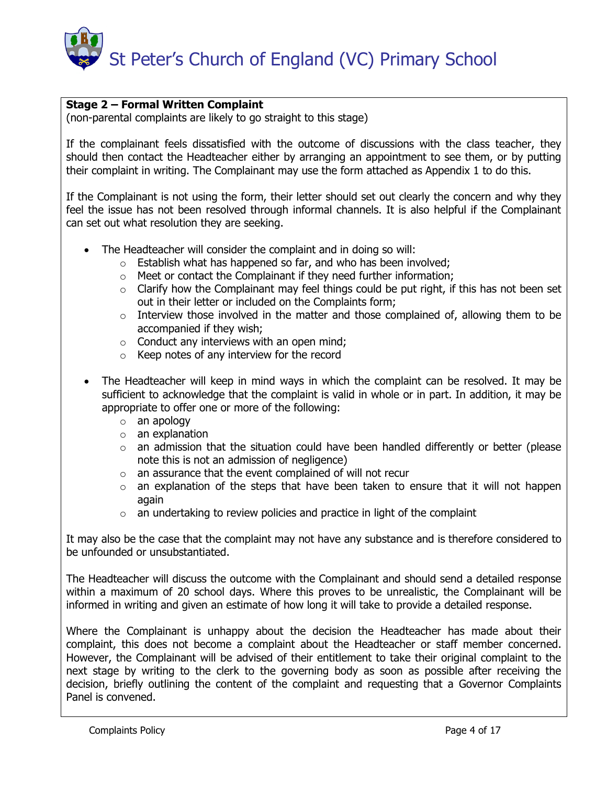

# **Stage 2 – Formal Written Complaint**

(non-parental complaints are likely to go straight to this stage)

If the complainant feels dissatisfied with the outcome of discussions with the class teacher, they should then contact the Headteacher either by arranging an appointment to see them, or by putting their complaint in writing. The Complainant may use the form attached as Appendix 1 to do this.

If the Complainant is not using the form, their letter should set out clearly the concern and why they feel the issue has not been resolved through informal channels. It is also helpful if the Complainant can set out what resolution they are seeking.

- The Headteacher will consider the complaint and in doing so will:
	- $\circ$  Establish what has happened so far, and who has been involved;
	- o Meet or contact the Complainant if they need further information;
	- $\circ$  Clarify how the Complainant may feel things could be put right, if this has not been set out in their letter or included on the Complaints form;
	- $\circ$  Interview those involved in the matter and those complained of, allowing them to be accompanied if they wish;
	- $\circ$  Conduct any interviews with an open mind;
	- o Keep notes of any interview for the record
- The Headteacher will keep in mind ways in which the complaint can be resolved. It may be sufficient to acknowledge that the complaint is valid in whole or in part. In addition, it may be appropriate to offer one or more of the following:
	- o an apology
	- $\circ$  an explanation
	- o an admission that the situation could have been handled differently or better (please note this is not an admission of negligence)
	- o an assurance that the event complained of will not recur
	- o an explanation of the steps that have been taken to ensure that it will not happen again
	- $\circ$  an undertaking to review policies and practice in light of the complaint

It may also be the case that the complaint may not have any substance and is therefore considered to be unfounded or unsubstantiated.

The Headteacher will discuss the outcome with the Complainant and should send a detailed response within a maximum of 20 school days. Where this proves to be unrealistic, the Complainant will be informed in writing and given an estimate of how long it will take to provide a detailed response.

Where the Complainant is unhappy about the decision the Headteacher has made about their complaint, this does not become a complaint about the Headteacher or staff member concerned. However, the Complainant will be advised of their entitlement to take their original complaint to the next stage by writing to the clerk to the governing body as soon as possible after receiving the decision, briefly outlining the content of the complaint and requesting that a Governor Complaints Panel is convened.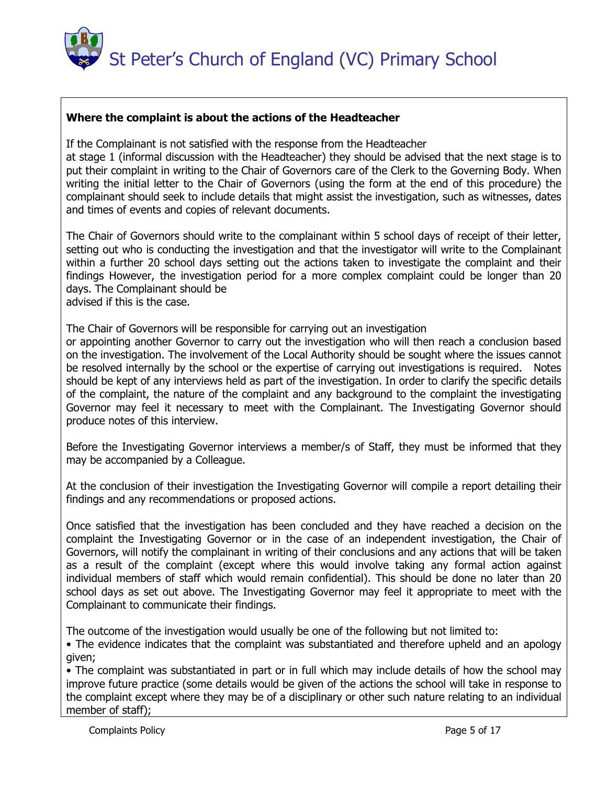

# **Where the complaint is about the actions of the Headteacher**

If the Complainant is not satisfied with the response from the Headteacher

at stage 1 (informal discussion with the Headteacher) they should be advised that the next stage is to put their complaint in writing to the Chair of Governors care of the Clerk to the Governing Body. When writing the initial letter to the Chair of Governors (using the form at the end of this procedure) the complainant should seek to include details that might assist the investigation, such as witnesses, dates and times of events and copies of relevant documents.

The Chair of Governors should write to the complainant within 5 school days of receipt of their letter, setting out who is conducting the investigation and that the investigator will write to the Complainant within a further 20 school days setting out the actions taken to investigate the complaint and their findings However, the investigation period for a more complex complaint could be longer than 20 days. The Complainant should be advised if this is the case.

The Chair of Governors will be responsible for carrying out an investigation

or appointing another Governor to carry out the investigation who will then reach a conclusion based on the investigation. The involvement of the Local Authority should be sought where the issues cannot be resolved internally by the school or the expertise of carrying out investigations is required. Notes should be kept of any interviews held as part of the investigation. In order to clarify the specific details of the complaint, the nature of the complaint and any background to the complaint the investigating Governor may feel it necessary to meet with the Complainant. The Investigating Governor should produce notes of this interview.

Before the Investigating Governor interviews a member/s of Staff, they must be informed that they may be accompanied by a Colleague.

At the conclusion of their investigation the Investigating Governor will compile a report detailing their findings and any recommendations or proposed actions.

Once satisfied that the investigation has been concluded and they have reached a decision on the complaint the Investigating Governor or in the case of an independent investigation, the Chair of Governors, will notify the complainant in writing of their conclusions and any actions that will be taken as a result of the complaint (except where this would involve taking any formal action against individual members of staff which would remain confidential). This should be done no later than 20 school days as set out above. The Investigating Governor may feel it appropriate to meet with the Complainant to communicate their findings.

The outcome of the investigation would usually be one of the following but not limited to:

• The evidence indicates that the complaint was substantiated and therefore upheld and an apology given;

• The complaint was substantiated in part or in full which may include details of how the school may improve future practice (some details would be given of the actions the school will take in response to the complaint except where they may be of a disciplinary or other such nature relating to an individual member of staff);

Complaints Policy **Page 5 of 17**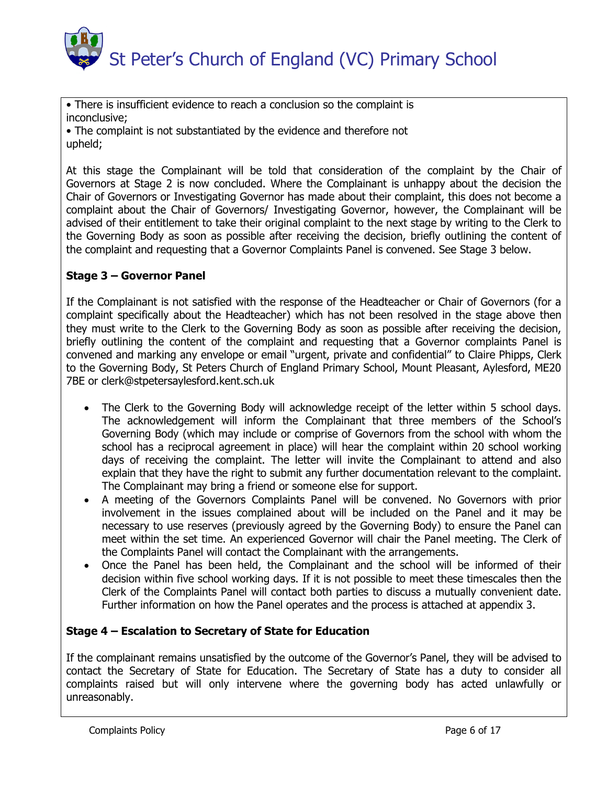

• There is insufficient evidence to reach a conclusion so the complaint is inconclusive;

• The complaint is not substantiated by the evidence and therefore not upheld;

At this stage the Complainant will be told that consideration of the complaint by the Chair of Governors at Stage 2 is now concluded. Where the Complainant is unhappy about the decision the Chair of Governors or Investigating Governor has made about their complaint, this does not become a complaint about the Chair of Governors/ Investigating Governor, however, the Complainant will be advised of their entitlement to take their original complaint to the next stage by writing to the Clerk to the Governing Body as soon as possible after receiving the decision, briefly outlining the content of the complaint and requesting that a Governor Complaints Panel is convened. See Stage 3 below.

# **Stage 3 – Governor Panel**

If the Complainant is not satisfied with the response of the Headteacher or Chair of Governors (for a complaint specifically about the Headteacher) which has not been resolved in the stage above then they must write to the Clerk to the Governing Body as soon as possible after receiving the decision, briefly outlining the content of the complaint and requesting that a Governor complaints Panel is convened and marking any envelope or email "urgent, private and confidential" to Claire Phipps, Clerk to the Governing Body, St Peters Church of England Primary School, Mount Pleasant, Aylesford, ME20 7BE or clerk@stpetersaylesford.kent.sch.uk

- The Clerk to the Governing Body will acknowledge receipt of the letter within 5 school days. The acknowledgement will inform the Complainant that three members of the School's Governing Body (which may include or comprise of Governors from the school with whom the school has a reciprocal agreement in place) will hear the complaint within 20 school working days of receiving the complaint. The letter will invite the Complainant to attend and also explain that they have the right to submit any further documentation relevant to the complaint. The Complainant may bring a friend or someone else for support.
- A meeting of the Governors Complaints Panel will be convened. No Governors with prior involvement in the issues complained about will be included on the Panel and it may be necessary to use reserves (previously agreed by the Governing Body) to ensure the Panel can meet within the set time. An experienced Governor will chair the Panel meeting. The Clerk of the Complaints Panel will contact the Complainant with the arrangements.
- Once the Panel has been held, the Complainant and the school will be informed of their decision within five school working days. If it is not possible to meet these timescales then the Clerk of the Complaints Panel will contact both parties to discuss a mutually convenient date. Further information on how the Panel operates and the process is attached at appendix 3.

# **Stage 4 – Escalation to Secretary of State for Education**

If the complainant remains unsatisfied by the outcome of the Governor's Panel, they will be advised to contact the Secretary of State for Education. The Secretary of State has a duty to consider all complaints raised but will only intervene where the governing body has acted unlawfully or unreasonably.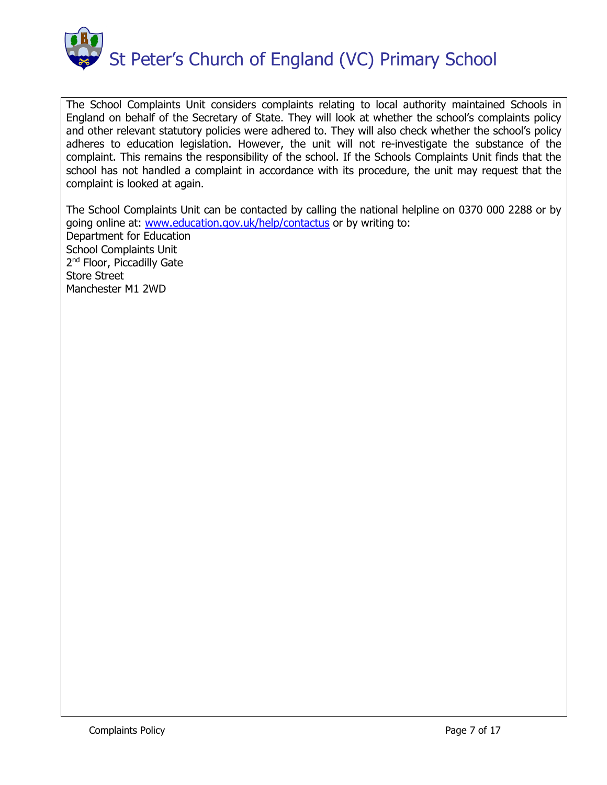

The School Complaints Unit considers complaints relating to local authority maintained Schools in England on behalf of the Secretary of State. They will look at whether the school's complaints policy and other relevant statutory policies were adhered to. They will also check whether the school's policy adheres to education legislation. However, the unit will not re-investigate the substance of the complaint. This remains the responsibility of the school. If the Schools Complaints Unit finds that the school has not handled a complaint in accordance with its procedure, the unit may request that the complaint is looked at again.

The School Complaints Unit can be contacted by calling the national helpline on 0370 000 2288 or by going online at: [www.education.gov.uk/help/contactus](http://www.education.gov.uk/help/contactus) or by writing to: Department for Education School Complaints Unit 2<sup>nd</sup> Floor, Piccadilly Gate Store Street Manchester M1 2WD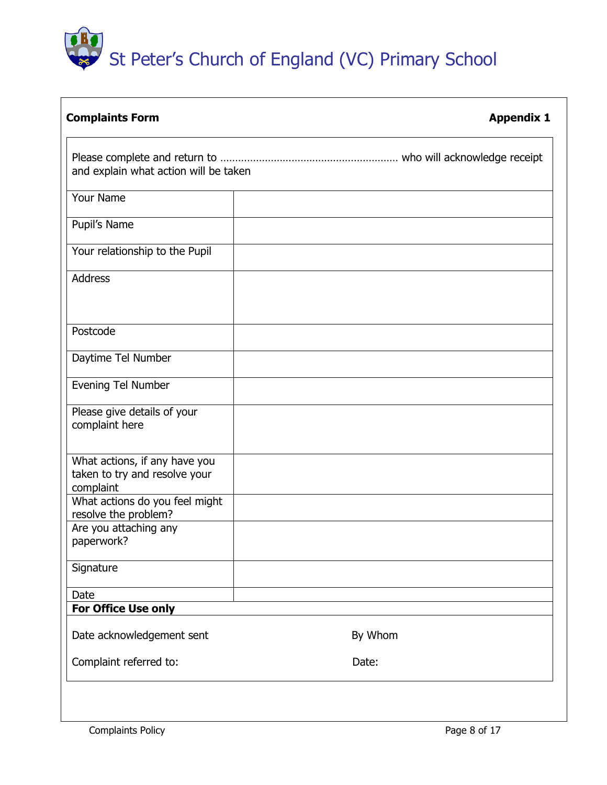# St Peter's Church of England (VC) Primary School

| <b>Complaints Form</b>                                                      | <b>Appendix 1</b> |
|-----------------------------------------------------------------------------|-------------------|
| and explain what action will be taken                                       |                   |
|                                                                             |                   |
| <b>Your Name</b>                                                            |                   |
| Pupil's Name                                                                |                   |
| Your relationship to the Pupil                                              |                   |
| <b>Address</b>                                                              |                   |
| Postcode                                                                    |                   |
| Daytime Tel Number                                                          |                   |
| Evening Tel Number                                                          |                   |
| Please give details of your<br>complaint here                               |                   |
| What actions, if any have you<br>taken to try and resolve your<br>complaint |                   |
| What actions do you feel might<br>resolve the problem?                      |                   |
| Are you attaching any<br>paperwork?                                         |                   |
| Signature                                                                   |                   |
| Date                                                                        |                   |
| For Office Use only                                                         |                   |
| Date acknowledgement sent                                                   | By Whom           |
| Complaint referred to:                                                      | Date:             |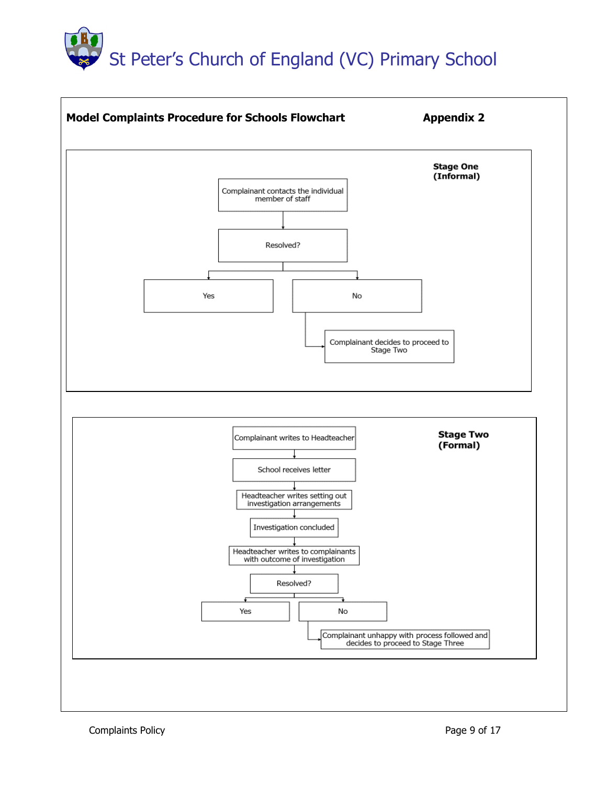# St Peter's Church of England (VC) Primary School



Complaints Policy **Page 9 of 17**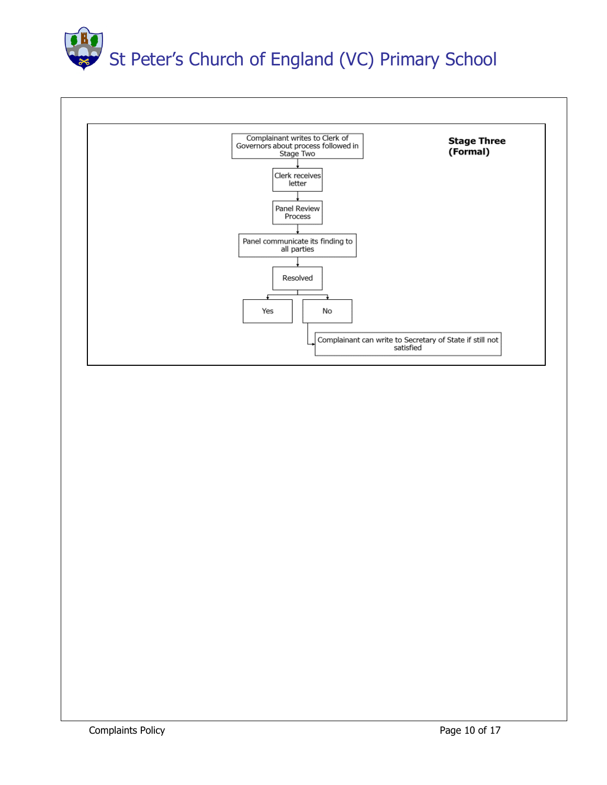

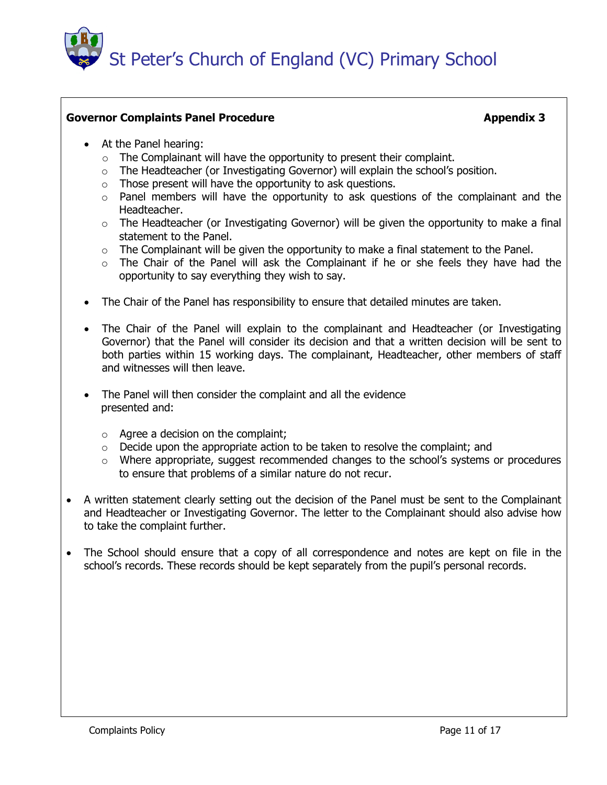

# **Governor Complaints Panel Procedure Appendix 3** Appendix 3

- At the Panel hearing:
	- o The Complainant will have the opportunity to present their complaint.
	- o The Headteacher (or Investigating Governor) will explain the school's position.
	- $\circ$  Those present will have the opportunity to ask questions.
	- o Panel members will have the opportunity to ask questions of the complainant and the Headteacher.
	- o The Headteacher (or Investigating Governor) will be given the opportunity to make a final statement to the Panel.
	- $\circ$  The Complainant will be given the opportunity to make a final statement to the Panel.
	- o The Chair of the Panel will ask the Complainant if he or she feels they have had the opportunity to say everything they wish to say.
- The Chair of the Panel has responsibility to ensure that detailed minutes are taken.
- The Chair of the Panel will explain to the complainant and Headteacher (or Investigating Governor) that the Panel will consider its decision and that a written decision will be sent to both parties within 15 working days. The complainant, Headteacher, other members of staff and witnesses will then leave.
- The Panel will then consider the complaint and all the evidence presented and:
	- $\circ$  Agree a decision on the complaint;
	- $\circ$  Decide upon the appropriate action to be taken to resolve the complaint; and
	- o Where appropriate, suggest recommended changes to the school's systems or procedures to ensure that problems of a similar nature do not recur.
- A written statement clearly setting out the decision of the Panel must be sent to the Complainant and Headteacher or Investigating Governor. The letter to the Complainant should also advise how to take the complaint further.
- The School should ensure that a copy of all correspondence and notes are kept on file in the school's records. These records should be kept separately from the pupil's personal records.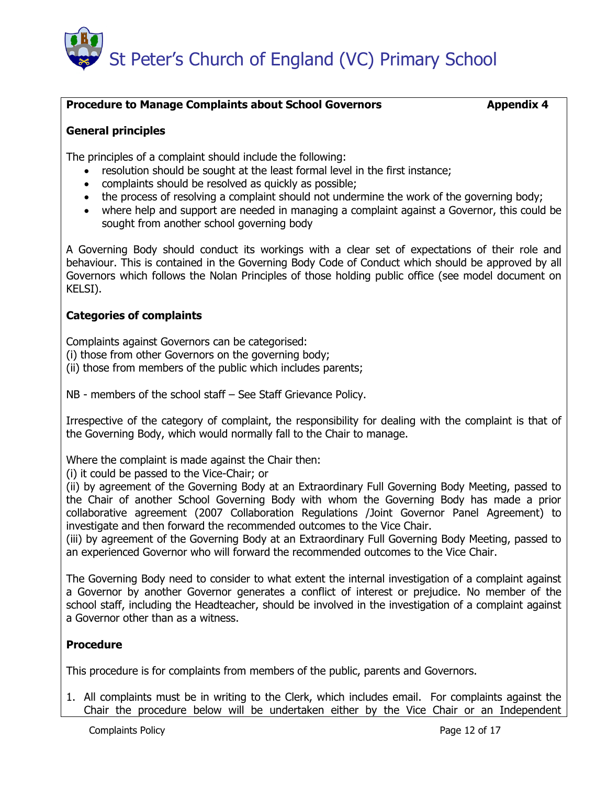# **Procedure to Manage Complaints about School Governors The Computer of Appendix 4**

# **General principles**

The principles of a complaint should include the following:

- resolution should be sought at the least formal level in the first instance;
- complaints should be resolved as quickly as possible;
- the process of resolving a complaint should not undermine the work of the governing body;
- where help and support are needed in managing a complaint against a Governor, this could be sought from another school governing body

A Governing Body should conduct its workings with a clear set of expectations of their role and behaviour. This is contained in the Governing Body Code of Conduct which should be approved by all Governors which follows the Nolan Principles of those holding public office (see model document on KELSI).

# **Categories of complaints**

Complaints against Governors can be categorised:

(i) those from other Governors on the governing body;

(ii) those from members of the public which includes parents;

NB - members of the school staff – See Staff Grievance Policy.

Irrespective of the category of complaint, the responsibility for dealing with the complaint is that of the Governing Body, which would normally fall to the Chair to manage.

Where the complaint is made against the Chair then:

(i) it could be passed to the Vice-Chair; or

(ii) by agreement of the Governing Body at an Extraordinary Full Governing Body Meeting, passed to the Chair of another School Governing Body with whom the Governing Body has made a prior collaborative agreement (2007 Collaboration Regulations /Joint Governor Panel Agreement) to investigate and then forward the recommended outcomes to the Vice Chair.

(iii) by agreement of the Governing Body at an Extraordinary Full Governing Body Meeting, passed to an experienced Governor who will forward the recommended outcomes to the Vice Chair.

The Governing Body need to consider to what extent the internal investigation of a complaint against a Governor by another Governor generates a conflict of interest or prejudice. No member of the school staff, including the Headteacher, should be involved in the investigation of a complaint against a Governor other than as a witness.

# **Procedure**

This procedure is for complaints from members of the public, parents and Governors.

1. All complaints must be in writing to the Clerk, which includes email. For complaints against the Chair the procedure below will be undertaken either by the Vice Chair or an Independent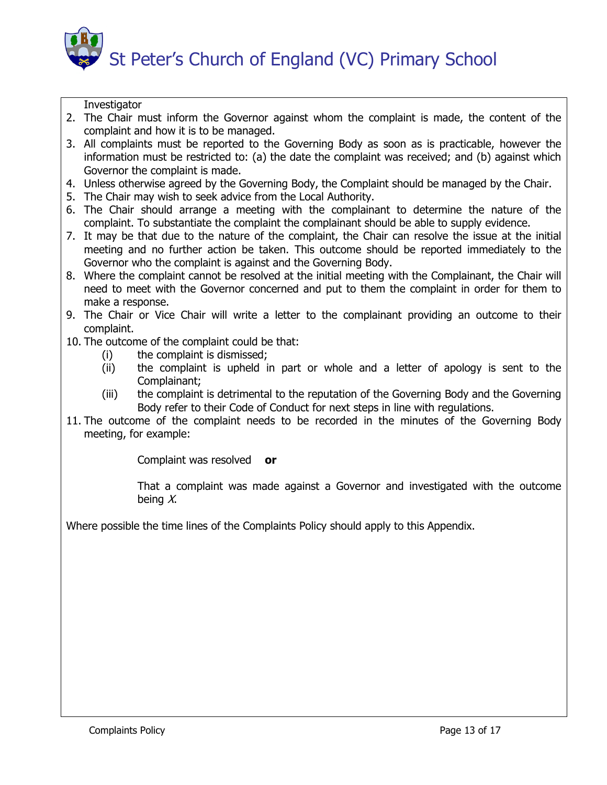

**Investigator** 

- 2. The Chair must inform the Governor against whom the complaint is made, the content of the complaint and how it is to be managed.
- 3. All complaints must be reported to the Governing Body as soon as is practicable, however the information must be restricted to: (a) the date the complaint was received; and (b) against which Governor the complaint is made.
- 4. Unless otherwise agreed by the Governing Body, the Complaint should be managed by the Chair.
- 5. The Chair may wish to seek advice from the Local Authority.
- 6. The Chair should arrange a meeting with the complainant to determine the nature of the complaint. To substantiate the complaint the complainant should be able to supply evidence.
- 7. It may be that due to the nature of the complaint, the Chair can resolve the issue at the initial meeting and no further action be taken. This outcome should be reported immediately to the Governor who the complaint is against and the Governing Body.
- 8. Where the complaint cannot be resolved at the initial meeting with the Complainant, the Chair will need to meet with the Governor concerned and put to them the complaint in order for them to make a response.
- 9. The Chair or Vice Chair will write a letter to the complainant providing an outcome to their complaint.
- 10. The outcome of the complaint could be that:
	- (i) the complaint is dismissed;
	- (ii) the complaint is upheld in part or whole and a letter of apology is sent to the Complainant;
	- (iii) the complaint is detrimental to the reputation of the Governing Body and the Governing Body refer to their Code of Conduct for next steps in line with regulations.
- 11. The outcome of the complaint needs to be recorded in the minutes of the Governing Body meeting, for example:

Complaint was resolved **or**

That a complaint was made against a Governor and investigated with the outcome being  $X$ .

Where possible the time lines of the Complaints Policy should apply to this Appendix.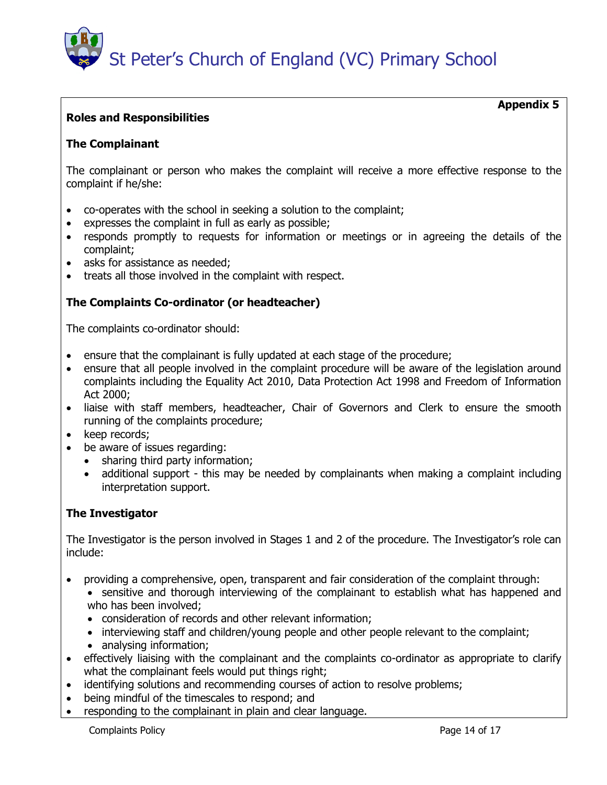

# **Roles and Responsibilities**

# **The Complainant**

The complainant or person who makes the complaint will receive a more effective response to the complaint if he/she:

- co-operates with the school in seeking a solution to the complaint;
- expresses the complaint in full as early as possible;
- responds promptly to requests for information or meetings or in agreeing the details of the complaint;
- asks for assistance as needed;
- treats all those involved in the complaint with respect.

# **The Complaints Co-ordinator (or headteacher)**

The complaints co-ordinator should:

- ensure that the complainant is fully updated at each stage of the procedure;
- ensure that all people involved in the complaint procedure will be aware of the legislation around complaints including the Equality Act 2010, Data Protection Act 1998 and Freedom of Information Act 2000;
- liaise with staff members, headteacher, Chair of Governors and Clerk to ensure the smooth running of the complaints procedure;
- keep records:
- be aware of issues regarding:
	- sharing third party information;
	- additional support this may be needed by complainants when making a complaint including interpretation support.

# **The Investigator**

The Investigator is the person involved in Stages 1 and 2 of the procedure. The Investigator's role can include:

- providing a comprehensive, open, transparent and fair consideration of the complaint through:
	- sensitive and thorough interviewing of the complainant to establish what has happened and who has been involved;
	- consideration of records and other relevant information;
	- interviewing staff and children/young people and other people relevant to the complaint;
	- analysing information;
- effectively liaising with the complainant and the complaints co-ordinator as appropriate to clarify what the complainant feels would put things right;
- identifying solutions and recommending courses of action to resolve problems;
- being mindful of the timescales to respond; and
- responding to the complainant in plain and clear language.

 **Appendix 5**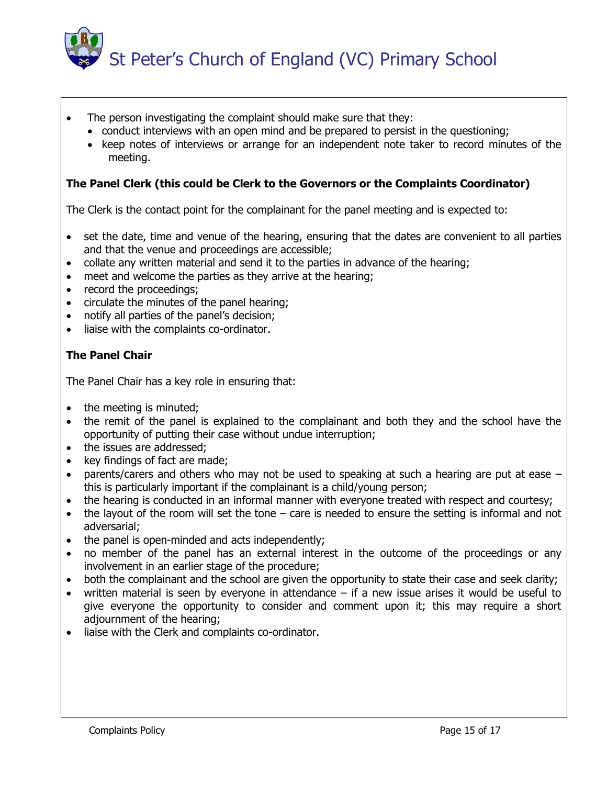

- The person investigating the complaint should make sure that they:
	- conduct interviews with an open mind and be prepared to persist in the questioning;
	- keep notes of interviews or arrange for an independent note taker to record minutes of the meeting.

# **The Panel Clerk (this could be Clerk to the Governors or the Complaints Coordinator)**

The Clerk is the contact point for the complainant for the panel meeting and is expected to:

- set the date, time and venue of the hearing, ensuring that the dates are convenient to all parties and that the venue and proceedings are accessible;
- collate any written material and send it to the parties in advance of the hearing;
- meet and welcome the parties as they arrive at the hearing;
- record the proceedings;
- circulate the minutes of the panel hearing;
- notify all parties of the panel's decision;
- liaise with the complaints co-ordinator.

# **The Panel Chair**

The Panel Chair has a key role in ensuring that:

- the meeting is minuted;
- the remit of the panel is explained to the complainant and both they and the school have the opportunity of putting their case without undue interruption;
- the issues are addressed;
- key findings of fact are made;
- parents/carers and others who may not be used to speaking at such a hearing are put at ease this is particularly important if the complainant is a child/young person;
- the hearing is conducted in an informal manner with everyone treated with respect and courtesy;
- the layout of the room will set the tone care is needed to ensure the setting is informal and not adversarial;
- the panel is open-minded and acts independently;
- no member of the panel has an external interest in the outcome of the proceedings or any involvement in an earlier stage of the procedure;
- both the complainant and the school are given the opportunity to state their case and seek clarity;
- written material is seen by everyone in attendance if a new issue arises it would be useful to give everyone the opportunity to consider and comment upon it; this may require a short adjournment of the hearing;
- liaise with the Clerk and complaints co-ordinator.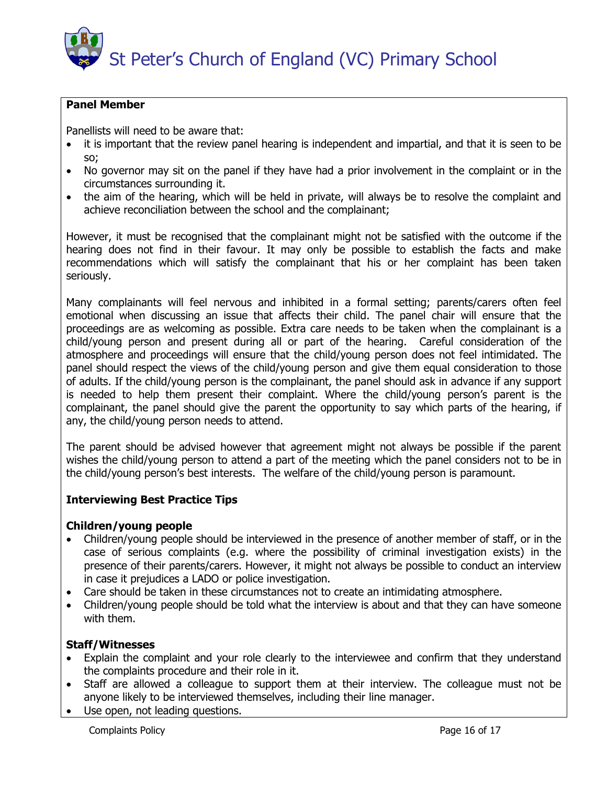# **Panel Member**

Panellists will need to be aware that:

- it is important that the review panel hearing is independent and impartial, and that it is seen to be so;
- No governor may sit on the panel if they have had a prior involvement in the complaint or in the circumstances surrounding it.
- the aim of the hearing, which will be held in private, will always be to resolve the complaint and achieve reconciliation between the school and the complainant;

However, it must be recognised that the complainant might not be satisfied with the outcome if the hearing does not find in their favour. It may only be possible to establish the facts and make recommendations which will satisfy the complainant that his or her complaint has been taken seriously.

Many complainants will feel nervous and inhibited in a formal setting; parents/carers often feel emotional when discussing an issue that affects their child. The panel chair will ensure that the proceedings are as welcoming as possible. Extra care needs to be taken when the complainant is a child/young person and present during all or part of the hearing. Careful consideration of the atmosphere and proceedings will ensure that the child/young person does not feel intimidated. The panel should respect the views of the child/young person and give them equal consideration to those of adults. If the child/young person is the complainant, the panel should ask in advance if any support is needed to help them present their complaint. Where the child/young person's parent is the complainant, the panel should give the parent the opportunity to say which parts of the hearing, if any, the child/young person needs to attend.

The parent should be advised however that agreement might not always be possible if the parent wishes the child/young person to attend a part of the meeting which the panel considers not to be in the child/young person's best interests. The welfare of the child/young person is paramount.

# **Interviewing Best Practice Tips**

# **Children/young people**

- Children/young people should be interviewed in the presence of another member of staff, or in the case of serious complaints (e.g. where the possibility of criminal investigation exists) in the presence of their parents/carers. However, it might not always be possible to conduct an interview in case it prejudices a LADO or police investigation.
- Care should be taken in these circumstances not to create an intimidating atmosphere.
- Children/young people should be told what the interview is about and that they can have someone with them.

# **Staff/Witnesses**

- Explain the complaint and your role clearly to the interviewee and confirm that they understand the complaints procedure and their role in it.
- Staff are allowed a colleague to support them at their interview. The colleague must not be anyone likely to be interviewed themselves, including their line manager.
- Use open, not leading questions.